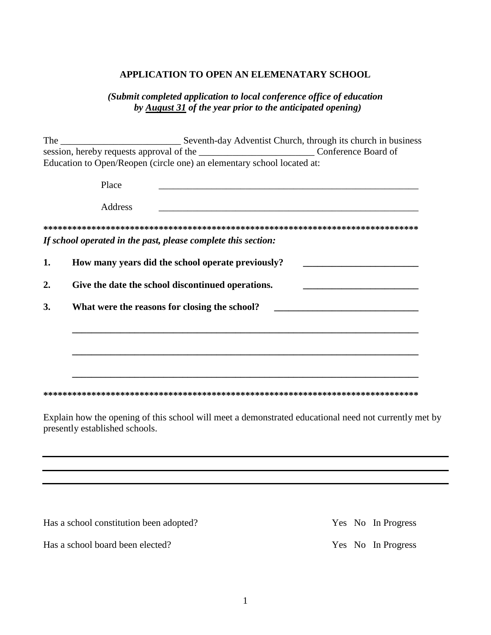#### **APPLICATION TO OPEN AN ELEMENATARY SCHOOL**

### *(Submit completed application to local conference office of education by August 31 of the year prior to the anticipated opening)*

The \_\_\_\_\_\_\_\_\_\_\_\_\_\_\_\_\_\_\_\_\_\_\_\_\_ Seventh-day Adventist Church, through its church in business session, hereby requests approval of the \_\_\_\_\_\_\_\_\_\_\_\_\_\_\_\_\_\_\_\_\_\_\_\_ Conference Board of Education to Open/Reopen (circle one) an elementary school located at:

|    | Place                                                         |
|----|---------------------------------------------------------------|
|    | Address                                                       |
|    |                                                               |
|    | If school operated in the past, please complete this section: |
| 1. | How many years did the school operate previously?             |
| 2. | Give the date the school discontinued operations.             |
| 3. | What were the reasons for closing the school?                 |
|    |                                                               |
|    |                                                               |
|    |                                                               |
|    |                                                               |

Explain how the opening of this school will meet a demonstrated educational need not currently met by presently established schools.

Has a school constitution been adopted? Yes No In Progress

Has a school board been elected? Yes No In Progress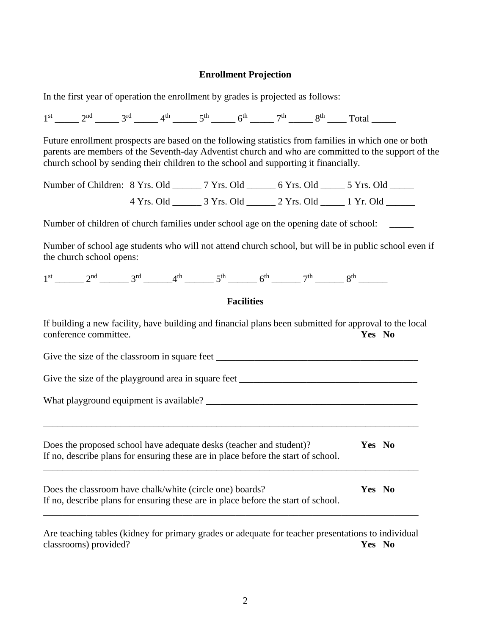#### **Enrollment Projection**

In the first year of operation the enrollment by grades is projected as follows:

 $1^{st}$  \_\_\_\_\_ 2<sup>nd</sup> \_\_\_\_\_ 3<sup>rd</sup> \_\_\_\_\_ 4<sup>th</sup> \_\_\_\_\_ 5<sup>th</sup> \_\_\_\_\_ 6<sup>th</sup> \_\_\_\_\_ 7<sup>th</sup> \_\_\_\_\_ 8<sup>th</sup> \_\_\_\_ Total \_\_\_\_\_ Future enrollment prospects are based on the following statistics from families in which one or both parents are members of the Seventh-day Adventist church and who are committed to the support of the church school by sending their children to the school and supporting it financially. Number of Children: 8 Yrs. Old \_\_\_\_\_\_ 7 Yrs. Old \_\_\_\_\_\_ 6 Yrs. Old \_\_\_\_\_\_ 5 Yrs. Old \_\_\_\_\_\_ 4 Yrs. Old \_\_\_\_\_\_ 3 Yrs. Old \_\_\_\_\_\_ 2 Yrs. Old \_\_\_\_\_ 1 Yr. Old \_\_\_\_\_\_ Number of children of church families under school age on the opening date of school: Number of school age students who will not attend church school, but will be in public school even if the church school opens:  $1^{st}$  \_\_\_\_\_\_\_ 2<sup>nd</sup> \_\_\_\_\_\_\_ 3<sup>rd</sup> \_\_\_\_\_\_\_ 4<sup>th</sup> \_\_\_\_\_\_\_ 5<sup>th</sup> \_\_\_\_\_\_\_ 6<sup>th</sup> \_\_\_\_\_\_\_ 7<sup>th</sup> \_\_\_\_\_\_ 8<sup>th</sup> \_\_\_\_\_\_\_ **Facilities** If building a new facility, have building and financial plans been submitted for approval to the local conference committee. **Yes No** Give the size of the classroom in square feet \_\_\_\_\_\_\_\_\_\_\_\_\_\_\_\_\_\_\_\_\_\_\_\_\_\_\_\_\_\_\_\_\_\_\_\_\_\_\_\_\_\_ Give the size of the playground area in square feet \_\_\_\_\_\_\_\_\_\_\_\_\_\_\_\_\_\_\_\_\_\_\_\_\_\_\_\_\_ What playground equipment is available? \_\_\_\_\_\_\_\_\_\_\_\_\_\_\_\_\_\_\_\_\_\_\_\_\_\_\_\_\_\_\_\_\_\_\_\_\_\_\_\_\_\_\_\_ \_\_\_\_\_\_\_\_\_\_\_\_\_\_\_\_\_\_\_\_\_\_\_\_\_\_\_\_\_\_\_\_\_\_\_\_\_\_\_\_\_\_\_\_\_\_\_\_\_\_\_\_\_\_\_\_\_\_\_\_\_\_\_\_\_\_\_\_\_\_\_\_\_\_\_\_\_\_ Does the proposed school have adequate desks (teacher and student)? **Yes No** If no, describe plans for ensuring these are in place before the start of school. \_\_\_\_\_\_\_\_\_\_\_\_\_\_\_\_\_\_\_\_\_\_\_\_\_\_\_\_\_\_\_\_\_\_\_\_\_\_\_\_\_\_\_\_\_\_\_\_\_\_\_\_\_\_\_\_\_\_\_\_\_\_\_\_\_\_\_\_\_\_\_\_\_\_\_\_\_\_ Does the classroom have chalk/white (circle one) boards? **Yes No** If no, describe plans for ensuring these are in place before the start of school. \_\_\_\_\_\_\_\_\_\_\_\_\_\_\_\_\_\_\_\_\_\_\_\_\_\_\_\_\_\_\_\_\_\_\_\_\_\_\_\_\_\_\_\_\_\_\_\_\_\_\_\_\_\_\_\_\_\_\_\_\_\_\_\_\_\_\_\_\_\_\_\_\_\_\_\_\_\_ Are teaching tables (kidney for primary grades or adequate for teacher presentations to individual

classrooms) provided? **Yes No**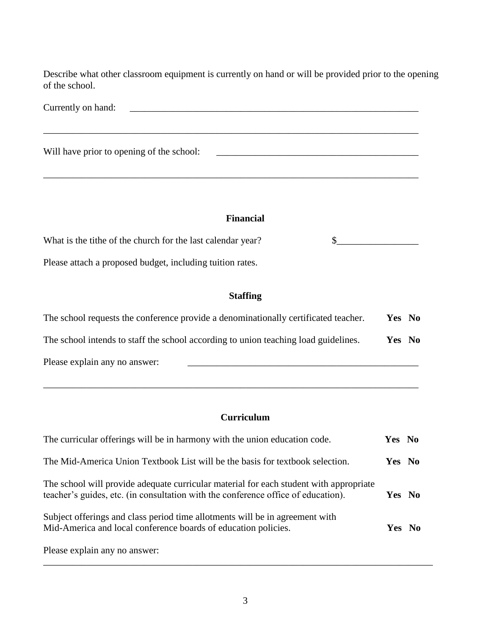Describe what other classroom equipment is currently on hand or will be provided prior to the opening of the school.

| Currently on hand:                        |  |
|-------------------------------------------|--|
|                                           |  |
| Will have prior to opening of the school: |  |

\_\_\_\_\_\_\_\_\_\_\_\_\_\_\_\_\_\_\_\_\_\_\_\_\_\_\_\_\_\_\_\_\_\_\_\_\_\_\_\_\_\_\_\_\_\_\_\_\_\_\_\_\_\_\_\_\_\_\_\_\_\_\_\_\_\_\_\_\_\_\_\_\_\_\_\_\_\_

### **Financial**

What is the tithe of the church for the last calendar year? \$\_\_\_\_\_\_\_\_\_\_\_\_\_\_\_\_\_ Please attach a proposed budget, including tuition rates.

## **Staffing**

| The school requests the conference provide a denominationally certificated teacher. | Yes No |  |
|-------------------------------------------------------------------------------------|--------|--|
| The school intends to staff the school according to union teaching load guidelines. | Yes No |  |
| Please explain any no answer:                                                       |        |  |

\_\_\_\_\_\_\_\_\_\_\_\_\_\_\_\_\_\_\_\_\_\_\_\_\_\_\_\_\_\_\_\_\_\_\_\_\_\_\_\_\_\_\_\_\_\_\_\_\_\_\_\_\_\_\_\_\_\_\_\_\_\_\_\_\_\_\_\_\_\_\_\_\_\_\_\_\_\_

## **Curriculum**

| The curricular offerings will be in harmony with the union education code.                                                                                                  | Yes No |  |
|-----------------------------------------------------------------------------------------------------------------------------------------------------------------------------|--------|--|
| The Mid-America Union Textbook List will be the basis for textbook selection.                                                                                               | Yes No |  |
| The school will provide adequate curricular material for each student with appropriate<br>teacher's guides, etc. (in consultation with the conference office of education). | Yes No |  |
| Subject offerings and class period time allotments will be in agreement with<br>Mid-America and local conference boards of education policies.                              | Yes No |  |
| Please explain any no answer:                                                                                                                                               |        |  |

\_\_\_\_\_\_\_\_\_\_\_\_\_\_\_\_\_\_\_\_\_\_\_\_\_\_\_\_\_\_\_\_\_\_\_\_\_\_\_\_\_\_\_\_\_\_\_\_\_\_\_\_\_\_\_\_\_\_\_\_\_\_\_\_\_\_\_\_\_\_\_\_\_\_\_\_\_\_\_\_\_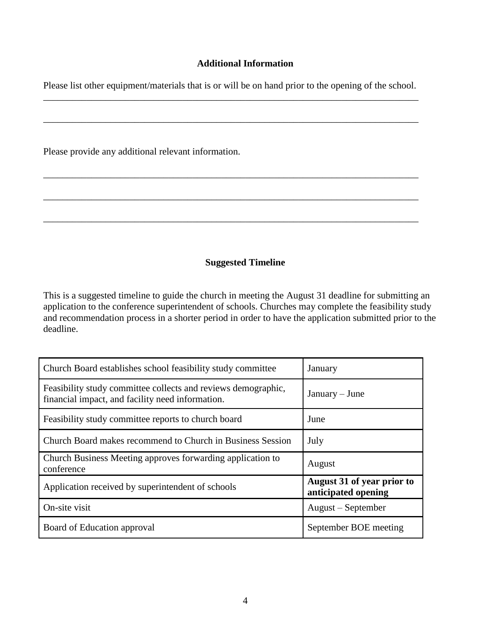### **Additional Information**

Please list other equipment/materials that is or will be on hand prior to the opening of the school. \_\_\_\_\_\_\_\_\_\_\_\_\_\_\_\_\_\_\_\_\_\_\_\_\_\_\_\_\_\_\_\_\_\_\_\_\_\_\_\_\_\_\_\_\_\_\_\_\_\_\_\_\_\_\_\_\_\_\_\_\_\_\_\_\_\_\_\_\_\_\_\_\_\_\_\_\_\_

\_\_\_\_\_\_\_\_\_\_\_\_\_\_\_\_\_\_\_\_\_\_\_\_\_\_\_\_\_\_\_\_\_\_\_\_\_\_\_\_\_\_\_\_\_\_\_\_\_\_\_\_\_\_\_\_\_\_\_\_\_\_\_\_\_\_\_\_\_\_\_\_\_\_\_\_\_\_

\_\_\_\_\_\_\_\_\_\_\_\_\_\_\_\_\_\_\_\_\_\_\_\_\_\_\_\_\_\_\_\_\_\_\_\_\_\_\_\_\_\_\_\_\_\_\_\_\_\_\_\_\_\_\_\_\_\_\_\_\_\_\_\_\_\_\_\_\_\_\_\_\_\_\_\_\_\_

\_\_\_\_\_\_\_\_\_\_\_\_\_\_\_\_\_\_\_\_\_\_\_\_\_\_\_\_\_\_\_\_\_\_\_\_\_\_\_\_\_\_\_\_\_\_\_\_\_\_\_\_\_\_\_\_\_\_\_\_\_\_\_\_\_\_\_\_\_\_\_\_\_\_\_\_\_\_

Please provide any additional relevant information.

### **Suggested Timeline**

This is a suggested timeline to guide the church in meeting the August 31 deadline for submitting an application to the conference superintendent of schools. Churches may complete the feasibility study and recommendation process in a shorter period in order to have the application submitted prior to the deadline.

| Church Board establishes school feasibility study committee                                                       | January                                           |  |
|-------------------------------------------------------------------------------------------------------------------|---------------------------------------------------|--|
| Feasibility study committee collects and reviews demographic,<br>financial impact, and facility need information. | $January - June$                                  |  |
| Feasibility study committee reports to church board                                                               | June                                              |  |
| Church Board makes recommend to Church in Business Session                                                        | July                                              |  |
| Church Business Meeting approves forwarding application to<br>conference                                          | August                                            |  |
| Application received by superintendent of schools                                                                 | August 31 of year prior to<br>anticipated opening |  |
| On-site visit                                                                                                     | August – September                                |  |
| Board of Education approval                                                                                       | September BOE meeting                             |  |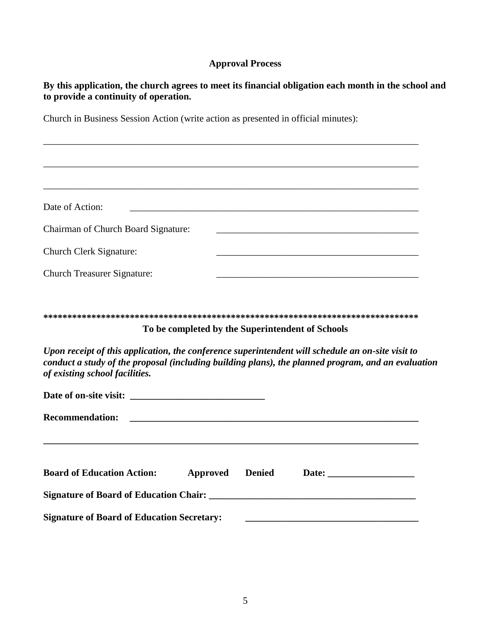# **Approval Process**

**By this application, the church agrees to meet its financial obligation each month in the school and to provide a continuity of operation.**

Church in Business Session Action (write action as presented in official minutes):

| Date of Action:<br><u> 1990 - Jan James Barnett, president eta industrial eta industrial eta industrial eta industrial eta industria</u>                                                                                                  |                                                                                                                      |  |  |
|-------------------------------------------------------------------------------------------------------------------------------------------------------------------------------------------------------------------------------------------|----------------------------------------------------------------------------------------------------------------------|--|--|
| Chairman of Church Board Signature:                                                                                                                                                                                                       | <u> 1989 - Johann John Stone, markin fizikar (h. 1989).</u>                                                          |  |  |
| Church Clerk Signature:                                                                                                                                                                                                                   |                                                                                                                      |  |  |
| <b>Church Treasurer Signature:</b>                                                                                                                                                                                                        | <u> 1989 - Johann Barbara, marka a shekara tsa 1989 - An tsa 1989 - An tsa 1989 - An tsa 1989 - An tsa 1989 - An</u> |  |  |
| To be completed by the Superintendent of Schools                                                                                                                                                                                          |                                                                                                                      |  |  |
| Upon receipt of this application, the conference superintendent will schedule an on-site visit to<br>conduct a study of the proposal (including building plans), the planned program, and an evaluation<br>of existing school facilities. |                                                                                                                      |  |  |
|                                                                                                                                                                                                                                           |                                                                                                                      |  |  |
| <b>Recommendation:</b>                                                                                                                                                                                                                    |                                                                                                                      |  |  |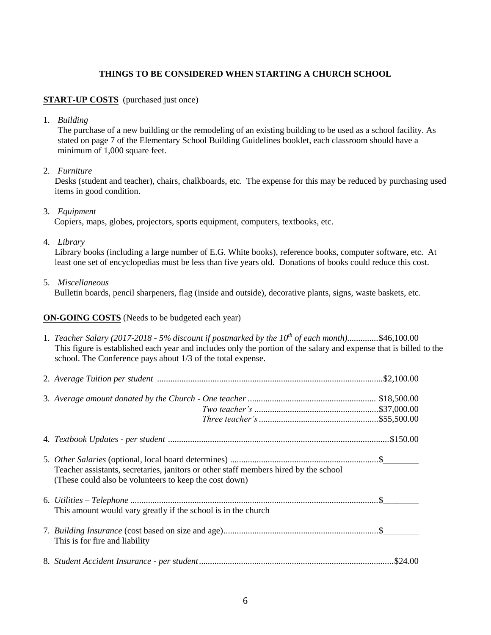#### **THINGS TO BE CONSIDERED WHEN STARTING A CHURCH SCHOOL**

#### **START-UP COSTS** (purchased just once)

1. *Building*

The purchase of a new building or the remodeling of an existing building to be used as a school facility. As stated on page 7 of the Elementary School Building Guidelines booklet, each classroom should have a minimum of 1,000 square feet.

2. *Furniture* 

Desks (student and teacher), chairs, chalkboards, etc. The expense for this may be reduced by purchasing used items in good condition.

3. *Equipment* 

Copiers, maps, globes, projectors, sports equipment, computers, textbooks, etc.

4. *Library*

Library books (including a large number of E.G. White books), reference books, computer software, etc. At least one set of encyclopedias must be less than five years old. Donations of books could reduce this cost.

5. *Miscellaneous*

Bulletin boards, pencil sharpeners, flag (inside and outside), decorative plants, signs, waste baskets, etc.

#### **ON-GOING COSTS** (Needs to be budgeted each year)

| 1. Teacher Salary (2017-2018 - 5% discount if postmarked by the $10^{th}$ of each month)\$46,100.00<br>This figure is established each year and includes only the portion of the salary and expense that is billed to the<br>school. The Conference pays about 1/3 of the total expense. |  |
|------------------------------------------------------------------------------------------------------------------------------------------------------------------------------------------------------------------------------------------------------------------------------------------|--|
|                                                                                                                                                                                                                                                                                          |  |
|                                                                                                                                                                                                                                                                                          |  |
|                                                                                                                                                                                                                                                                                          |  |
| Teacher assistants, secretaries, janitors or other staff members hired by the school<br>(These could also be volunteers to keep the cost down)                                                                                                                                           |  |
| This amount would vary greatly if the school is in the church                                                                                                                                                                                                                            |  |
| This is for fire and liability                                                                                                                                                                                                                                                           |  |
|                                                                                                                                                                                                                                                                                          |  |